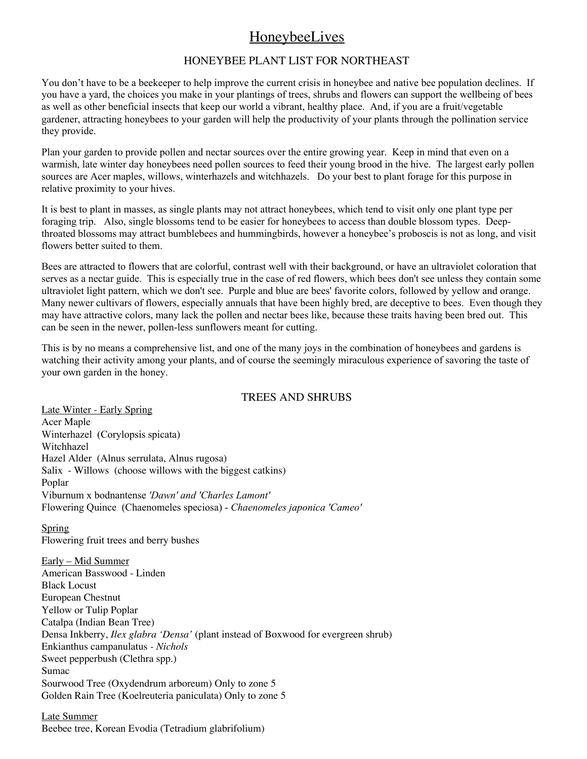# HoneybeeLives

## HONEYBEE PLANT LIST FOR NORTHEAST

You don't have to be a beekeeper to help improve the current crisis in honeybee and native bee population declines. If you have a yard, the choices you make in your plantings of trees, shrubs and flowers can support the wellbeing of bees as well as other beneficial insects that keep our world a vibrant, healthy place. And, if you are a fruit/vegetable gardener, attracting honeybees to your garden will help the productivity of your plants through the pollination service they provide.

Plan your garden to provide pollen and nectar sources over the entire growing year. Keep in mind that even on a warmish, late winter day honeybees need pollen sources to feed their young brood in the hive. The largest early pollen sources are Acer maples, willows, winterhazels and witchhazels. Do your best to plant forage for this purpose in relative proximity to your hives.

It is best to plant in masses, as single plants may not attract honeybees, which tend to visit only one plant type per foraging trip. Also, single blossoms tend to be easier for honeybees to access than double blossom types. Deepthroated blossoms may attract bumblebees and hummingbirds, however a honeybee's proboscis is not as long, and visit flowers better suited to them.

Bees are attracted to flowers that are colorful, contrast well with their background, or have an ultraviolet coloration that serves as a nectar guide. This is especially true in the case of red flowers, which bees don't see unless they contain some ultraviolet light pattern, which we don't see. Purple and blue are bees' favorite colors, followed by yellow and orange. Many newer cultivars of flowers, especially annuals that have been highly bred, are deceptive to bees. Even though they may have attractive colors, many lack the pollen and nectar bees like, because these traits having been bred out. This can be seen in the newer, pollen-less sunflowers meant for cutting.

This is by no means a comprehensive list, and one of the many joys in the combination of honeybees and gardens is watching their activity among your plants, and of course the seemingly miraculous experience of savoring the taste of your own garden in the honey.

## TREES AND SHRUBS

Late Winter - Early Spring Acer Maple Winterhazel (Corylopsis spicata) Witchhazel Hazel Alder (Alnus serrulata, Alnus rugosa) Salix - Willows (choose willows with the biggest catkins) Poplar Viburnum x bodnantense *'Dawn' and 'Charles Lamont'* Flowering Quince (Chaenomeles speciosa) - *Chaenomeles japonica 'Cameo'*

## Spring

Flowering fruit trees and berry bushes

Early – Mid Summer American Basswood - Linden Black Locust European Chestnut Yellow or Tulip Poplar Catalpa (Indian Bean Tree) Densa Inkberry, *Ilex glabra 'Densa'* (plant instead of Boxwood for evergreen shrub) Enkianthus campanulatus *- Nichols* Sweet pepperbush (Clethra spp.) Sumac Sourwood Tree (Oxydendrum arboreum) Only to zone 5 Golden Rain Tree (Koelreuteria paniculata) Only to zone 5

Late Summer Beebee tree, Korean Evodia (Tetradium glabrifolium)